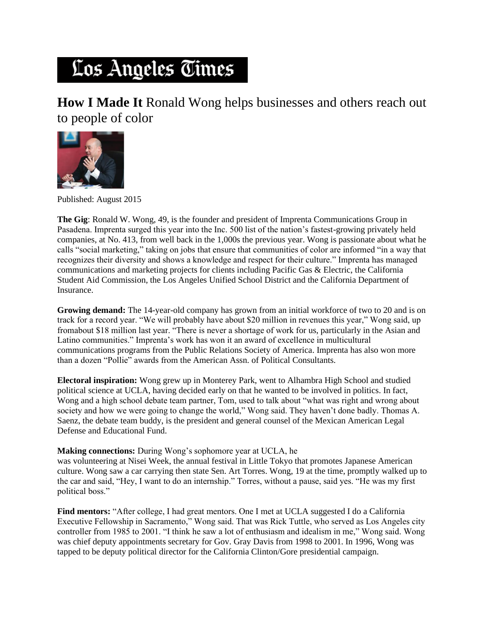## Los Angeles Times

**How I Made It** Ronald Wong helps businesses and others reach out to people of color



Published: August 2015

**The Gig**: Ronald W. Wong, 49, is the founder and president of Imprenta Communications Group in Pasadena. Imprenta surged this year into the Inc. 500 list of the nation's fastest-growing privately held companies, at No. 413, from well back in the 1,000s the previous year. Wong is passionate about what he calls "social marketing," taking on jobs that ensure that communities of color are informed "in a way that recognizes their diversity and shows a knowledge and respect for their culture." Imprenta has managed communications and marketing projects for clients including Pacific Gas & Electric, the California Student Aid Commission, the Los Angeles Unified School District and the California Department of Insurance.

**Growing demand:** The 14-year-old company has grown from an initial workforce of two to 20 and is on track for a record year. "We will probably have about \$20 million in revenues this year," Wong said, up fromabout \$18 million last year. "There is never a shortage of work for us, particularly in the Asian and Latino communities." Imprenta's work has won it an award of excellence in multicultural communications programs from the Public Relations Society of America. Imprenta has also won more than a dozen "Pollie" awards from the American Assn. of Political Consultants.

**Electoral inspiration:** Wong grew up in Monterey Park, went to Alhambra High School and studied political science at UCLA, having decided early on that he wanted to be involved in politics. In fact, Wong and a high school debate team partner, Tom, used to talk about "what was right and wrong about society and how we were going to change the world," Wong said. They haven't done badly. Thomas A. Saenz, the debate team buddy, is the president and general counsel of the Mexican American Legal Defense and Educational Fund.

## **Making connections:** During Wong's sophomore year at UCLA, he

was volunteering at Nisei Week, the annual festival in Little Tokyo that promotes Japanese American culture. Wong saw a car carrying then state Sen. Art Torres. Wong, 19 at the time, promptly walked up to the car and said, "Hey, I want to do an internship." Torres, without a pause, said yes. "He was my first political boss."

Find mentors: "After college, I had great mentors. One I met at UCLA suggested I do a California Executive Fellowship in Sacramento," Wong said. That was Rick Tuttle, who served as Los Angeles city controller from 1985 to 2001. "I think he saw a lot of enthusiasm and idealism in me," Wong said. Wong was chief deputy appointments secretary for Gov. Gray Davis from 1998 to 2001. In 1996, Wong was tapped to be deputy political director for the California Clinton/Gore presidential campaign.